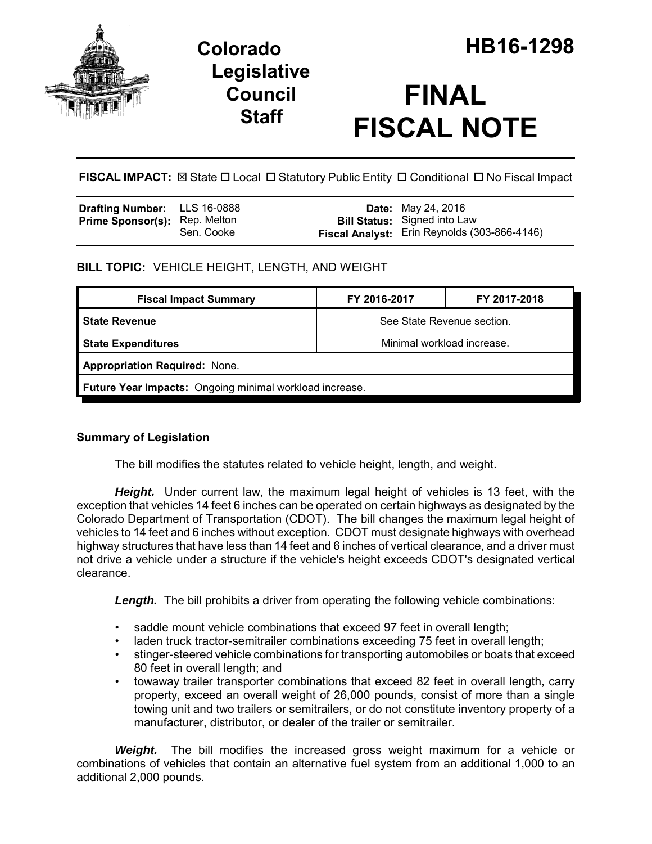

## **Legislative Council Staff**

# **FINAL FISCAL NOTE**

**FISCAL IMPACT:** ⊠ State □ Local □ Statutory Public Entity □ Conditional □ No Fiscal Impact

| Drafting Number: LLS 16-0888         |            | <b>Date:</b> May 24, 2016                    |
|--------------------------------------|------------|----------------------------------------------|
| <b>Prime Sponsor(s): Rep. Melton</b> |            | <b>Bill Status:</b> Signed into Law          |
|                                      | Sen. Cooke | Fiscal Analyst: Erin Reynolds (303-866-4146) |

## **BILL TOPIC:** VEHICLE HEIGHT, LENGTH, AND WEIGHT

| <b>Fiscal Impact Summary</b>                            | FY 2016-2017               | FY 2017-2018 |  |  |  |
|---------------------------------------------------------|----------------------------|--------------|--|--|--|
| l State Revenue                                         | See State Revenue section. |              |  |  |  |
| <b>State Expenditures</b>                               | Minimal workload increase. |              |  |  |  |
| <b>Appropriation Required: None.</b>                    |                            |              |  |  |  |
| Future Year Impacts: Ongoing minimal workload increase. |                            |              |  |  |  |

### **Summary of Legislation**

The bill modifies the statutes related to vehicle height, length, and weight.

*Height.* Under current law, the maximum legal height of vehicles is 13 feet, with the exception that vehicles 14 feet 6 inches can be operated on certain highways as designated by the Colorado Department of Transportation (CDOT). The bill changes the maximum legal height of vehicles to 14 feet and 6 inches without exception. CDOT must designate highways with overhead highway structures that have less than 14 feet and 6 inches of vertical clearance, and a driver must not drive a vehicle under a structure if the vehicle's height exceeds CDOT's designated vertical clearance.

**Length.** The bill prohibits a driver from operating the following vehicle combinations:

- saddle mount vehicle combinations that exceed 97 feet in overall length;
- laden truck tractor-semitrailer combinations exceeding 75 feet in overall length;
- stinger-steered vehicle combinations for transporting automobiles or boats that exceed 80 feet in overall length; and
- towaway trailer transporter combinations that exceed 82 feet in overall length, carry property, exceed an overall weight of 26,000 pounds, consist of more than a single towing unit and two trailers or semitrailers, or do not constitute inventory property of a manufacturer, distributor, or dealer of the trailer or semitrailer.

*Weight.* The bill modifies the increased gross weight maximum for a vehicle or combinations of vehicles that contain an alternative fuel system from an additional 1,000 to an additional 2,000 pounds.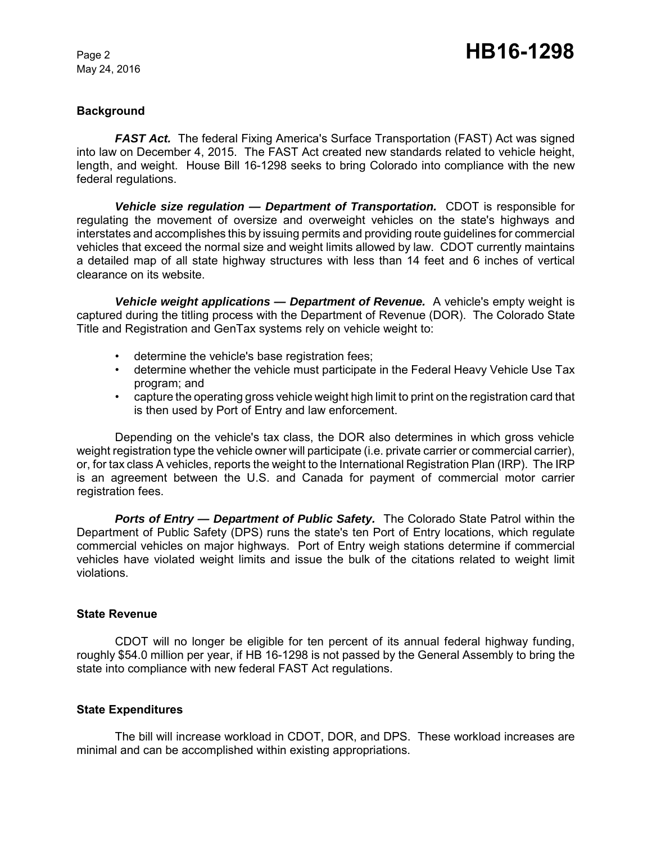May 24, 2016

#### **Background**

*FAST Act.* The federal Fixing America's Surface Transportation (FAST) Act was signed into law on December 4, 2015. The FAST Act created new standards related to vehicle height, length, and weight. House Bill 16-1298 seeks to bring Colorado into compliance with the new federal regulations.

**Vehicle size regulation — Department of Transportation.** CDOT is responsible for regulating the movement of oversize and overweight vehicles on the state's highways and interstates and accomplishes this by issuing permits and providing route guidelines for commercial vehicles that exceed the normal size and weight limits allowed by law. CDOT currently maintains a detailed map of all state highway structures with less than 14 feet and 6 inches of vertical clearance on its website.

*Vehicle weight applications — Department of Revenue.* A vehicle's empty weight is captured during the titling process with the Department of Revenue (DOR). The Colorado State Title and Registration and GenTax systems rely on vehicle weight to:

- determine the vehicle's base registration fees;
- determine whether the vehicle must participate in the Federal Heavy Vehicle Use Tax program; and
- capture the operating gross vehicle weight high limit to print on the registration card that is then used by Port of Entry and law enforcement.

Depending on the vehicle's tax class, the DOR also determines in which gross vehicle weight registration type the vehicle owner will participate (i.e. private carrier or commercial carrier), or, for tax class A vehicles, reports the weight to the International Registration Plan (IRP). The IRP is an agreement between the U.S. and Canada for payment of commercial motor carrier registration fees.

*Ports of Entry — Department of Public Safety.* The Colorado State Patrol within the Department of Public Safety (DPS) runs the state's ten Port of Entry locations, which regulate commercial vehicles on major highways. Port of Entry weigh stations determine if commercial vehicles have violated weight limits and issue the bulk of the citations related to weight limit violations.

#### **State Revenue**

CDOT will no longer be eligible for ten percent of its annual federal highway funding, roughly \$54.0 million per year, if HB 16-1298 is not passed by the General Assembly to bring the state into compliance with new federal FAST Act regulations.

#### **State Expenditures**

The bill will increase workload in CDOT, DOR, and DPS. These workload increases are minimal and can be accomplished within existing appropriations.